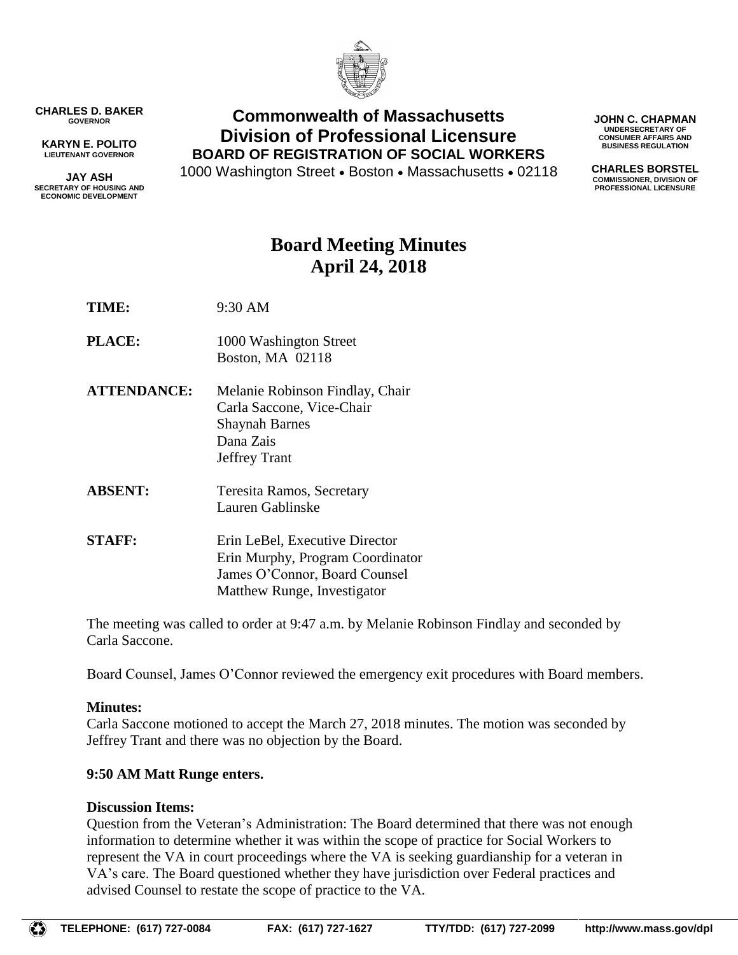

**CHARLES D. BAKER GOVERNOR**

**KARYN E. POLITO LIEUTENANT GOVERNOR**

**JAY ASH SECRETARY OF HOUSING AND ECONOMIC DEVELOPMENT**

## **Commonwealth of Massachusetts Division of Professional Licensure BOARD OF REGISTRATION OF SOCIAL WORKERS**

1000 Washington Street • Boston • Massachusetts • 02118

**JOHN C. CHAPMAN UNDERSECRETARY OF CONSUMER AFFAIRS AND BUSINESS REGULATION**

**CHARLES BORSTEL COMMISSIONER, DIVISION OF PROFESSIONAL LICENSURE**

# **Board Meeting Minutes April 24, 2018**

**TIME:** 9:30 AM

- **PLACE:** 1000 Washington Street Boston, MA 02118
- **ATTENDANCE:** Melanie Robinson Findlay, Chair Carla Saccone, Vice-Chair Shaynah Barnes Dana Zais Jeffrey Trant
- **ABSENT:** Teresita Ramos, Secretary Lauren Gablinske
- **STAFF:** Erin LeBel, Executive Director Erin Murphy, Program Coordinator James O'Connor, Board Counsel Matthew Runge, Investigator

The meeting was called to order at 9:47 a.m. by Melanie Robinson Findlay and seconded by Carla Saccone.

Board Counsel, James O'Connor reviewed the emergency exit procedures with Board members.

## **Minutes:**

Carla Saccone motioned to accept the March 27, 2018 minutes. The motion was seconded by Jeffrey Trant and there was no objection by the Board.

## **9:50 AM Matt Runge enters.**

## **Discussion Items:**

Question from the Veteran's Administration: The Board determined that there was not enough information to determine whether it was within the scope of practice for Social Workers to represent the VA in court proceedings where the VA is seeking guardianship for a veteran in VA's care. The Board questioned whether they have jurisdiction over Federal practices and advised Counsel to restate the scope of practice to the VA.

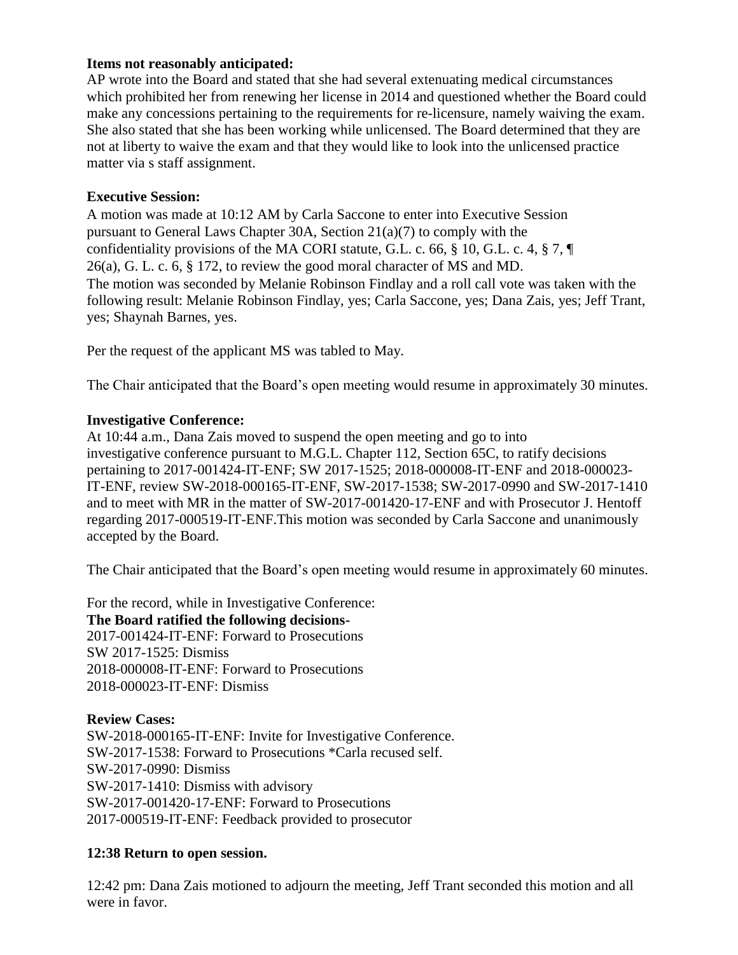### **Items not reasonably anticipated:**

AP wrote into the Board and stated that she had several extenuating medical circumstances which prohibited her from renewing her license in 2014 and questioned whether the Board could make any concessions pertaining to the requirements for re-licensure, namely waiving the exam. She also stated that she has been working while unlicensed. The Board determined that they are not at liberty to waive the exam and that they would like to look into the unlicensed practice matter via s staff assignment.

#### **Executive Session:**

A motion was made at 10:12 AM by Carla Saccone to enter into Executive Session pursuant to General Laws Chapter 30A, Section 21(a)(7) to comply with the confidentiality provisions of the MA CORI statute, G.L. c. 66, § 10, G.L. c. 4, § 7, ¶ 26(a), G. L. c. 6, § 172, to review the good moral character of MS and MD. The motion was seconded by Melanie Robinson Findlay and a roll call vote was taken with the following result: Melanie Robinson Findlay, yes; Carla Saccone, yes; Dana Zais, yes; Jeff Trant, yes; Shaynah Barnes, yes.

Per the request of the applicant MS was tabled to May.

The Chair anticipated that the Board's open meeting would resume in approximately 30 minutes.

### **Investigative Conference:**

At 10:44 a.m., Dana Zais moved to suspend the open meeting and go to into investigative conference pursuant to M.G.L. Chapter 112, Section 65C, to ratify decisions pertaining to 2017-001424-IT-ENF; SW 2017-1525; 2018-000008-IT-ENF and 2018-000023- IT-ENF, review SW-2018-000165-IT-ENF, SW-2017-1538; SW-2017-0990 and SW-2017-1410 and to meet with MR in the matter of SW-2017-001420-17-ENF and with Prosecutor J. Hentoff regarding 2017-000519-IT-ENF.This motion was seconded by Carla Saccone and unanimously accepted by the Board.

The Chair anticipated that the Board's open meeting would resume in approximately 60 minutes.

For the record, while in Investigative Conference: **The Board ratified the following decisions-**2017-001424-IT-ENF: Forward to Prosecutions SW 2017-1525: Dismiss 2018-000008-IT-ENF: Forward to Prosecutions 2018-000023-IT-ENF: Dismiss

**Review Cases:** SW-2018-000165-IT-ENF: Invite for Investigative Conference. SW-2017-1538: Forward to Prosecutions \*Carla recused self. SW-2017-0990: Dismiss SW-2017-1410: Dismiss with advisory SW-2017-001420-17-ENF: Forward to Prosecutions 2017-000519-IT-ENF: Feedback provided to prosecutor

## **12:38 Return to open session.**

12:42 pm: Dana Zais motioned to adjourn the meeting, Jeff Trant seconded this motion and all were in favor.